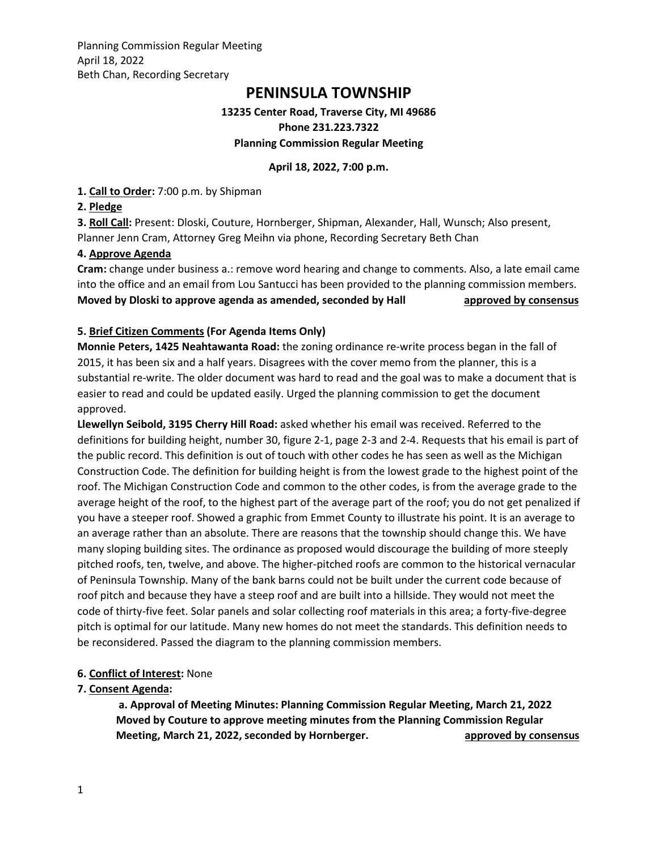Planning Commission Regular Meeting April 18, 2022 Beth Chan, Recording Secretary

# **PENINSULA TOWNSHIP**

### **13235 Center Road, Traverse City, MI 49686 Phone 231.223.7322 Planning Commission Regular Meeting**

**April 18, 2022, 7:00 p.m.**

**1. Call to Order:** 7:00 p.m. by Shipman

### **2. Pledge**

**3. Roll Call:** Present: Dloski, Couture, Hornberger, Shipman, Alexander, Hall, Wunsch; Also present, Planner Jenn Cram, Attorney Greg Meihn via phone, Recording Secretary Beth Chan

### **4. Approve Agenda**

**Cram:** change under business a.: remove word hearing and change to comments. Also, a late email came into the office and an email from Lou Santucci has been provided to the planning commission members. **Moved by Dloski to approve agenda as amended, seconded by Hall approved by consensus** 

### **5. Brief Citizen Comments (For Agenda Items Only)**

**Monnie Peters, 1425 Neahtawanta Road:** the zoning ordinance re-write process began in the fall of 2015, it has been six and a half years. Disagrees with the cover memo from the planner, this is a substantial re-write. The older document was hard to read and the goal was to make a document that is easier to read and could be updated easily. Urged the planning commission to get the document approved.

**Llewellyn Seibold, 3195 Cherry Hill Road:** asked whether his email was received. Referred to the definitions for building height, number 30, figure 2-1, page 2-3 and 2-4. Requests that his email is part of the public record. This definition is out of touch with other codes he has seen as well as the Michigan Construction Code. The definition for building height is from the lowest grade to the highest point of the roof. The Michigan Construction Code and common to the other codes, is from the average grade to the average height of the roof, to the highest part of the average part of the roof; you do not get penalized if you have a steeper roof. Showed a graphic from Emmet County to illustrate his point. It is an average to an average rather than an absolute. There are reasons that the township should change this. We have many sloping building sites. The ordinance as proposed would discourage the building of more steeply pitched roofs, ten, twelve, and above. The higher-pitched roofs are common to the historical vernacular of Peninsula Township. Many of the bank barns could not be built under the current code because of roof pitch and because they have a steep roof and are built into a hillside. They would not meet the code of thirty-five feet. Solar panels and solar collecting roof materials in this area; a forty-five-degree pitch is optimal for our latitude. Many new homes do not meet the standards. This definition needs to be reconsidered. Passed the diagram to the planning commission members.

### **6. Conflict of Interest:** None

### **7. Consent Agenda:**

**a. Approval of Meeting Minutes: Planning Commission Regular Meeting, March 21, 2022 Moved by Couture to approve meeting minutes from the Planning Commission Regular Meeting, March 21, 2022, seconded by Hornberger. and approved by consensus**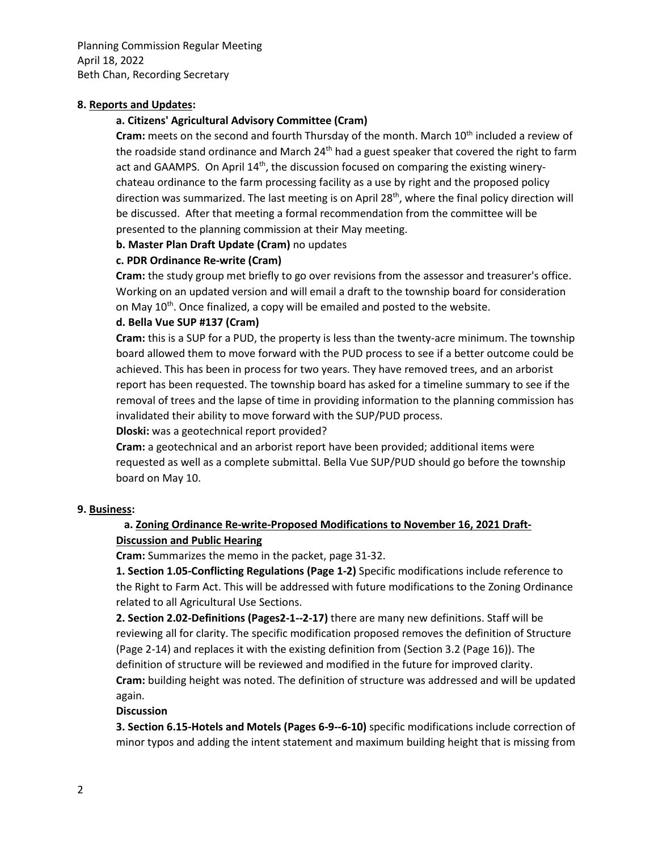Planning Commission Regular Meeting April 18, 2022 Beth Chan, Recording Secretary

#### **8. Reports and Updates:**

### **a. Citizens' Agricultural Advisory Committee (Cram)**

Cram: meets on the second and fourth Thursday of the month. March 10<sup>th</sup> included a review of the roadside stand ordinance and March 24<sup>th</sup> had a guest speaker that covered the right to farm act and GAAMPS. On April 14<sup>th</sup>, the discussion focused on comparing the existing winerychateau ordinance to the farm processing facility as a use by right and the proposed policy direction was summarized. The last meeting is on April  $28<sup>th</sup>$ , where the final policy direction will be discussed. After that meeting a formal recommendation from the committee will be presented to the planning commission at their May meeting.

#### **b. Master Plan Draft Update (Cram)** no updates

### **c. PDR Ordinance Re-write (Cram)**

**Cram:** the study group met briefly to go over revisions from the assessor and treasurer's office. Working on an updated version and will email a draft to the township board for consideration on May 10<sup>th</sup>. Once finalized, a copy will be emailed and posted to the website.

### **d. Bella Vue SUP #137 (Cram)**

**Cram:** this is a SUP for a PUD, the property is less than the twenty-acre minimum. The township board allowed them to move forward with the PUD process to see if a better outcome could be achieved. This has been in process for two years. They have removed trees, and an arborist report has been requested. The township board has asked for a timeline summary to see if the removal of trees and the lapse of time in providing information to the planning commission has invalidated their ability to move forward with the SUP/PUD process.

**Dloski:** was a geotechnical report provided?

**Cram:** a geotechnical and an arborist report have been provided; additional items were requested as well as a complete submittal. Bella Vue SUP/PUD should go before the township board on May 10.

#### **9. Business:**

### **a. Zoning Ordinance Re-write-Proposed Modifications to November 16, 2021 Draft-Discussion and Public Hearing**

**Cram:** Summarizes the memo in the packet, page 31-32.

**1. Section 1.05-Conflicting Regulations (Page 1-2)** Specific modifications include reference to the Right to Farm Act. This will be addressed with future modifications to the Zoning Ordinance related to all Agricultural Use Sections.

**2. Section 2.02-Definitions (Pages2-1--2-17)** there are many new definitions. Staff will be reviewing all for clarity. The specific modification proposed removes the definition of Structure (Page 2-14) and replaces it with the existing definition from (Section 3.2 (Page 16)). The definition of structure will be reviewed and modified in the future for improved clarity. **Cram:** building height was noted. The definition of structure was addressed and will be updated again.

#### **Discussion**

**3. Section 6.15-Hotels and Motels (Pages 6-9--6-10)** specific modifications include correction of minor typos and adding the intent statement and maximum building height that is missing from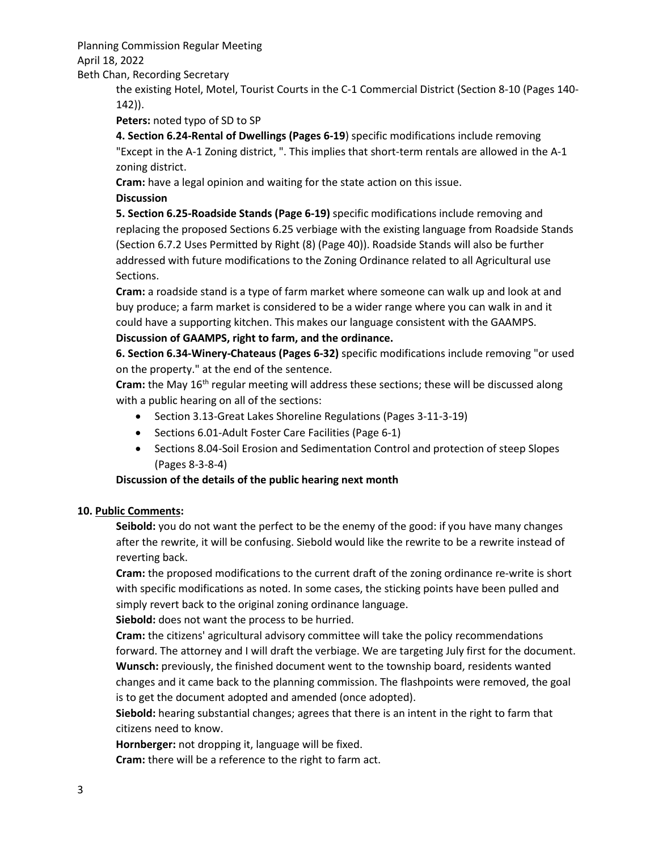Planning Commission Regular Meeting

April 18, 2022

Beth Chan, Recording Secretary

the existing Hotel, Motel, Tourist Courts in the C-1 Commercial District (Section 8-10 (Pages 140- 142)).

**Peters:** noted typo of SD to SP

**4. Section 6.24-Rental of Dwellings (Pages 6-19**) specific modifications include removing "Except in the A-1 Zoning district, ". This implies that short-term rentals are allowed in the A-1 zoning district.

**Cram:** have a legal opinion and waiting for the state action on this issue.

### **Discussion**

**5. Section 6.25-Roadside Stands (Page 6-19)** specific modifications include removing and replacing the proposed Sections 6.25 verbiage with the existing language from Roadside Stands (Section 6.7.2 Uses Permitted by Right (8) (Page 40)). Roadside Stands will also be further addressed with future modifications to the Zoning Ordinance related to all Agricultural use Sections.

**Cram:** a roadside stand is a type of farm market where someone can walk up and look at and buy produce; a farm market is considered to be a wider range where you can walk in and it could have a supporting kitchen. This makes our language consistent with the GAAMPS.

### **Discussion of GAAMPS, right to farm, and the ordinance.**

**6. Section 6.34-Winery-Chateaus (Pages 6-32)** specific modifications include removing "or used on the property." at the end of the sentence.

Cram: the May 16<sup>th</sup> regular meeting will address these sections; these will be discussed along with a public hearing on all of the sections:

- Section 3.13-Great Lakes Shoreline Regulations (Pages 3-11-3-19)
- Sections 6.01-Adult Foster Care Facilities (Page 6-1)
- Sections 8.04-Soil Erosion and Sedimentation Control and protection of steep Slopes (Pages 8-3-8-4)

## **Discussion of the details of the public hearing next month**

## **10. Public Comments:**

**Seibold:** you do not want the perfect to be the enemy of the good: if you have many changes after the rewrite, it will be confusing. Siebold would like the rewrite to be a rewrite instead of reverting back.

**Cram:** the proposed modifications to the current draft of the zoning ordinance re-write is short with specific modifications as noted. In some cases, the sticking points have been pulled and simply revert back to the original zoning ordinance language.

**Siebold:** does not want the process to be hurried.

**Cram:** the citizens' agricultural advisory committee will take the policy recommendations forward. The attorney and I will draft the verbiage. We are targeting July first for the document. **Wunsch:** previously, the finished document went to the township board, residents wanted changes and it came back to the planning commission. The flashpoints were removed, the goal is to get the document adopted and amended (once adopted).

**Siebold:** hearing substantial changes; agrees that there is an intent in the right to farm that citizens need to know.

**Hornberger:** not dropping it, language will be fixed.

**Cram:** there will be a reference to the right to farm act.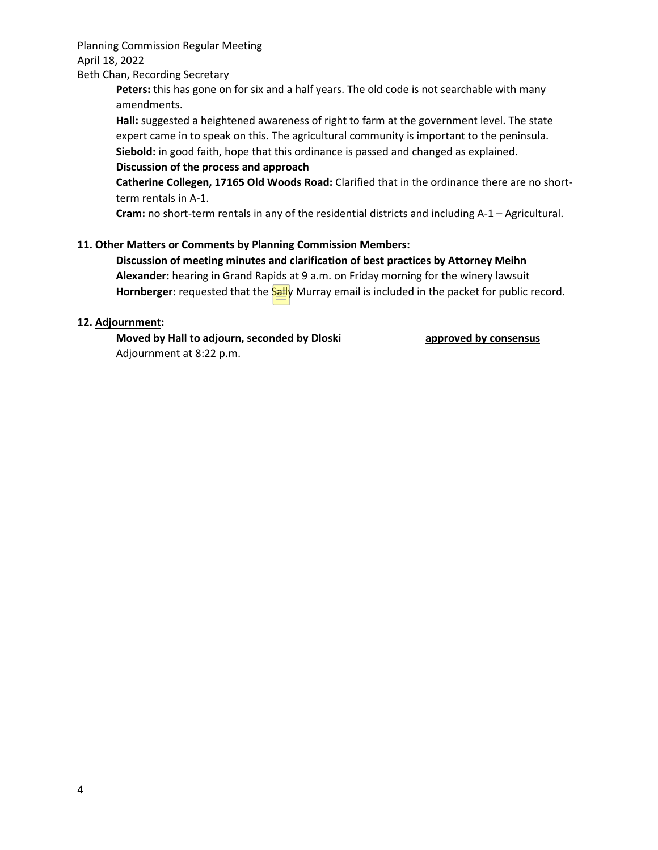Planning Commission Regular Meeting April 18, 2022

#### Beth Chan, Recording Secretary

**Peters:** this has gone on for six and a half years. The old code is not searchable with many amendments.

**Hall:** suggested a heightened awareness of right to farm at the government level. The state expert came in to speak on this. The agricultural community is important to the peninsula. **Siebold:** in good faith, hope that this ordinance is passed and changed as explained.

#### **Discussion of the process and approach**

**Catherine Collegen, 17165 Old Woods Road:** Clarified that in the ordinance there are no shortterm rentals in A-1.

**Cram:** no short-term rentals in any of the residential districts and including A-1 – Agricultural.

### **11. Other Matters or Comments by Planning Commission Members:**

**Discussion of meeting minutes and clarification of best practices by Attorney Meihn Alexander:** hearing in Grand Rapids at 9 a.m. on Friday morning for the winery lawsuit Hornberger: requested that the **Sally** Murray email is included in the packet for public record.

#### **12. Adjournment:**

**Moved by Hall to adjourn, seconded by Dloski** approved by consensus Adjournment at 8:22 p.m.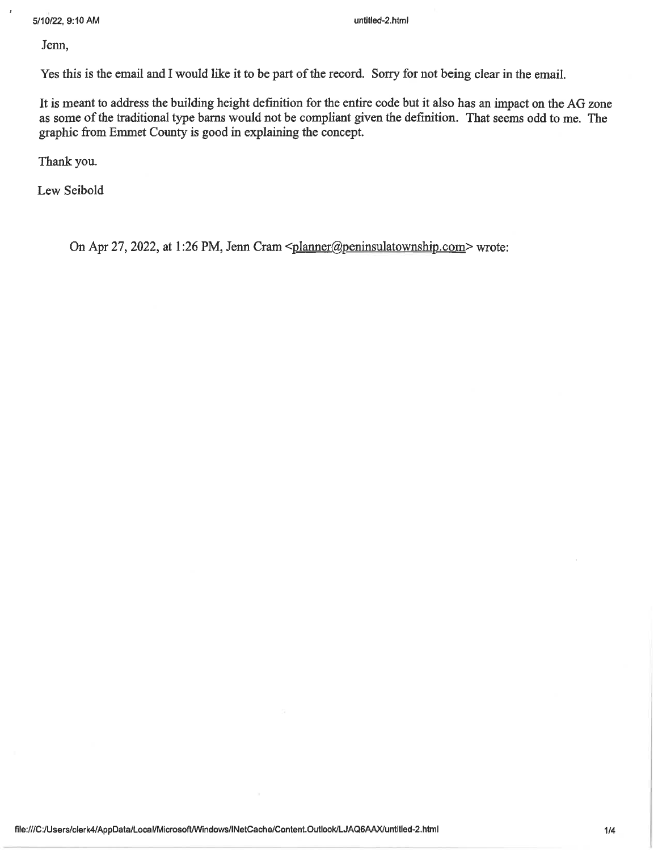Jenn,

Yes this is the email and I would like it to be part of the record. Sorry for not being clear in the email.

It is meant to address the building height definition for the entire code but it also has an impact on the AG zone as some of the traditional type barns would not be compliant given the definition. That seems odd to me. The graphic from Emmet County is good in explaining the concept.

Thank you.

Lew Seibold

On Apr 27, 2022, at 1:26 PM, Jenn Cram <planner@peninsulatownship.com> wrote: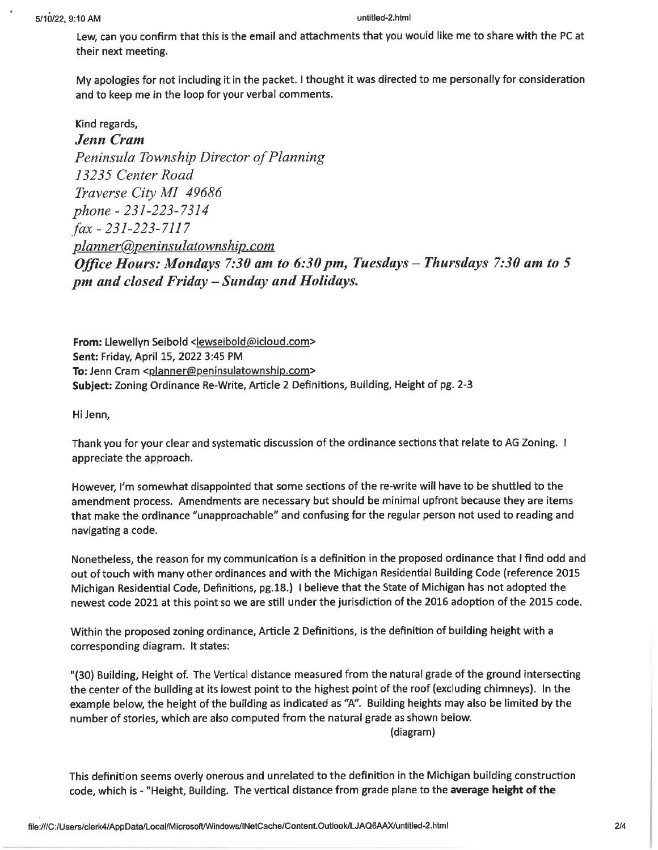Lew, can you confirm that this is the email and attachments that you would like me to share with the PC at their next meeting.

My apologies for not including it in the packet. I thought it was directed to me personally for consideration and to keep me in the loop for your verbal comments.

Kind regards, **Jenn Cram** Peninsula Township Director of Planning 13235 Center Road Traverse City MI 49686 phone - 231-223-7314  $\int ax - 231 - 223 - 7117$ planner@peninsulatownship.com Office Hours: Mondays 7:30 am to 6:30 pm, Tuesdays - Thursdays 7:30 am to 5 pm and closed Friday - Sunday and Holidays.

From: Llewellyn Seibold <lewseibold@icloud.com> Sent: Friday, April 15, 2022 3:45 PM To: Jenn Cram <planner@peninsulatownship.com> Subject: Zoning Ordinance Re-Write, Article 2 Definitions, Building, Height of pg. 2-3

Hi Jenn,

Thank you for your clear and systematic discussion of the ordinance sections that relate to AG Zoning. I appreciate the approach.

However, I'm somewhat disappointed that some sections of the re-write will have to be shuttled to the amendment process. Amendments are necessary but should be minimal upfront because they are items that make the ordinance "unapproachable" and confusing for the regular person not used to reading and navigating a code.

Nonetheless, the reason for my communication is a definition in the proposed ordinance that I find odd and out of touch with many other ordinances and with the Michigan Residential Building Code (reference 2015 Michigan Residential Code, Definitions, pg.18.) I believe that the State of Michigan has not adopted the newest code 2021 at this point so we are still under the jurisdiction of the 2016 adoption of the 2015 code.

Within the proposed zoning ordinance, Article 2 Definitions, is the definition of building height with a corresponding diagram. It states:

"(30) Building, Height of. The Vertical distance measured from the natural grade of the ground intersecting the center of the building at its lowest point to the highest point of the roof (excluding chimneys). In the example below, the height of the building as indicated as "A". Building heights may also be limited by the number of stories, which are also computed from the natural grade as shown below.

(diagram)

This definition seems overly onerous and unrelated to the definition in the Michigan building construction code, which is - "Height, Building. The vertical distance from grade plane to the average height of the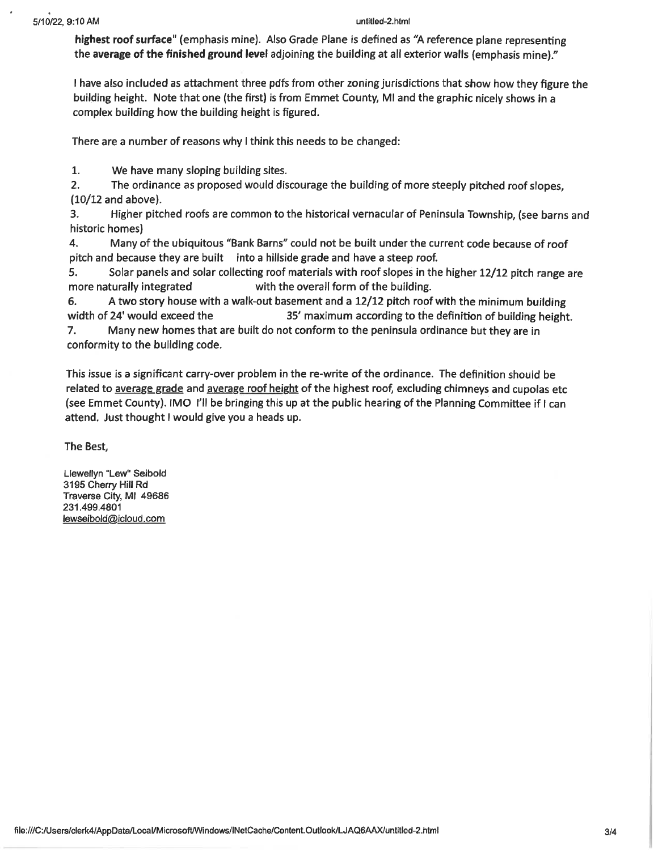#### untitled-2.html

highest roof surface" (emphasis mine). Also Grade Plane is defined as "A reference plane representing the average of the finished ground level adjoining the building at all exterior walls (emphasis mine)."

I have also included as attachment three pdfs from other zoning jurisdictions that show how they figure the building height. Note that one (the first) is from Emmet County, MI and the graphic nicely shows in a complex building how the building height is figured.

There are a number of reasons why I think this needs to be changed:

 $1.$ We have many sloping building sites.

 $2.$ The ordinance as proposed would discourage the building of more steeply pitched roof slopes.  $(10/12$  and above).

Higher pitched roofs are common to the historical vernacular of Peninsula Township, (see barns and 3. historic homes)

4. Many of the ubiquitous "Bank Barns" could not be built under the current code because of roof pitch and because they are built into a hillside grade and have a steep roof.

5. Solar panels and solar collecting roof materials with roof slopes in the higher 12/12 pitch range are more naturally integrated with the overall form of the building.

A two story house with a walk-out basement and a 12/12 pitch roof with the minimum building 6. width of 24' would exceed the 35' maximum according to the definition of building height.

7. Many new homes that are built do not conform to the peninsula ordinance but they are in conformity to the building code.

This issue is a significant carry-over problem in the re-write of the ordinance. The definition should be related to average grade and average roof height of the highest roof, excluding chimneys and cupolas etc (see Emmet County). IMO I'll be bringing this up at the public hearing of the Planning Committee if I can attend. Just thought I would give you a heads up.

The Best,

Llewellyn "Lew" Seibold 3195 Cherry Hill Rd Traverse City, MI 49686 231.499.4801 lewseibold@icloud.com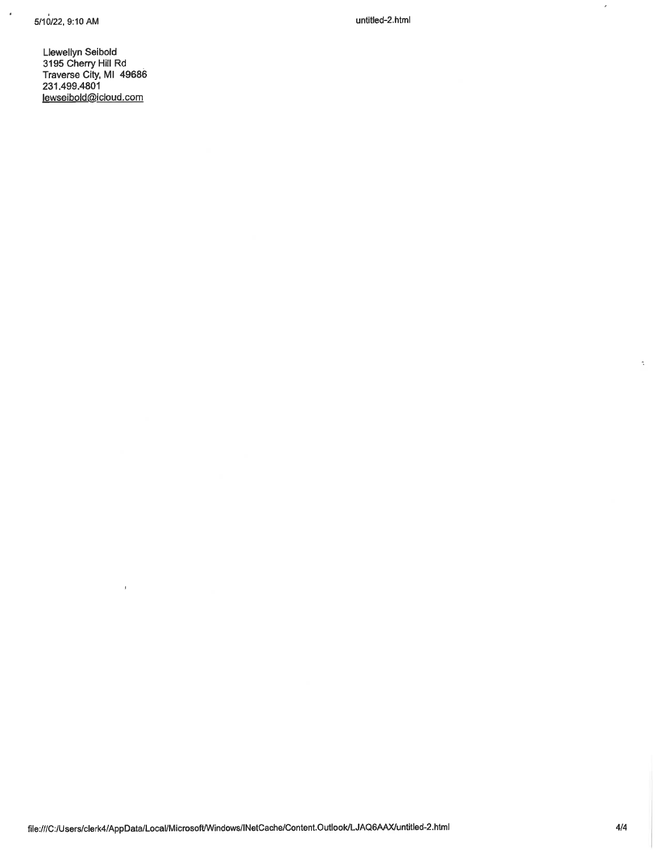$\epsilon$ 

untitled-2.html

Llewellyn Seibold 3195 Cherry Hill Rd<br>Traverse City, MI 49686<br>231.499.4801 lewseibold@icloud.com

 $\bar{\bf 1}$ 

 $\epsilon$ 

 $\frac{d\mathbf{y}}{d\mathbf{x}}$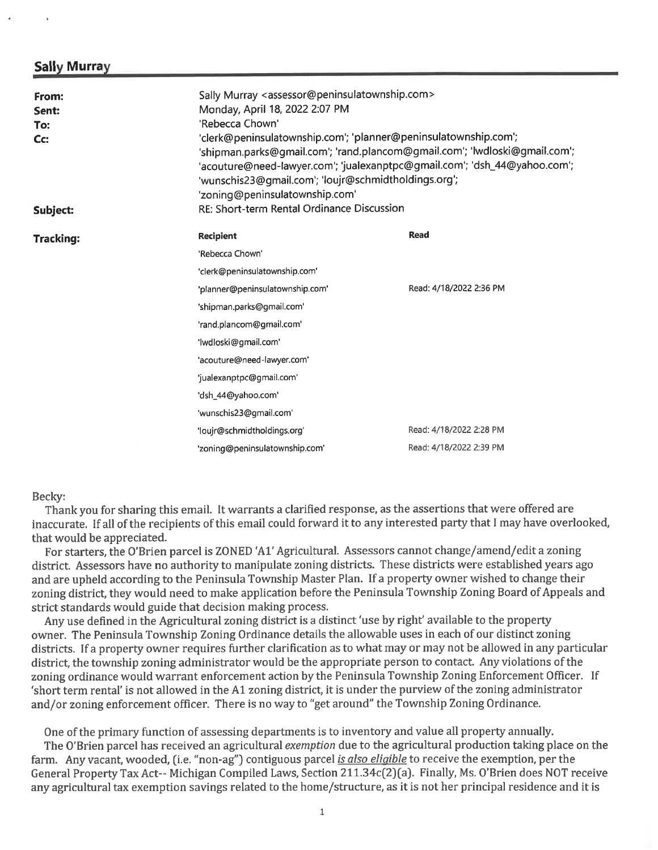### **Sally Murray**

| From:<br>Sent:<br>To:<br>Cc: | Sally Murray <assessor@peninsulatownship.com><br/>Monday, April 18, 2022 2:07 PM<br/>'Rebecca Chown'<br/>'clerk@peninsulatownship.com'; 'planner@peninsulatownship.com';<br/>'shipman.parks@gmail.com'; 'rand.plancom@gmail.com'; 'lwdloski@gmail.com';<br/>'acouture@need-lawyer.com'; 'jualexanptpc@gmail.com'; 'dsh_44@yahoo.com';<br/>'wunschis23@gmail.com'; 'loujr@schmidtholdings.org';<br/>'zoning@peninsulatownship.com'<br/>RE: Short-term Rental Ordinance Discussion</assessor@peninsulatownship.com> |                         |
|------------------------------|-------------------------------------------------------------------------------------------------------------------------------------------------------------------------------------------------------------------------------------------------------------------------------------------------------------------------------------------------------------------------------------------------------------------------------------------------------------------------------------------------------------------|-------------------------|
| Subject:                     |                                                                                                                                                                                                                                                                                                                                                                                                                                                                                                                   |                         |
| <b>Tracking:</b>             | <b>Recipient</b>                                                                                                                                                                                                                                                                                                                                                                                                                                                                                                  | Read                    |
|                              | 'Rebecca Chown'                                                                                                                                                                                                                                                                                                                                                                                                                                                                                                   |                         |
|                              | 'clerk@peninsulatownship.com'                                                                                                                                                                                                                                                                                                                                                                                                                                                                                     |                         |
|                              | 'planner@peninsulatownship.com'                                                                                                                                                                                                                                                                                                                                                                                                                                                                                   | Read: 4/18/2022 2:36 PM |
|                              | 'shipman.parks@gmail.com'                                                                                                                                                                                                                                                                                                                                                                                                                                                                                         |                         |
|                              | 'rand.plancom@gmail.com'                                                                                                                                                                                                                                                                                                                                                                                                                                                                                          |                         |
|                              | 'lwdloski@gmail.com'                                                                                                                                                                                                                                                                                                                                                                                                                                                                                              |                         |
|                              | 'acouture@need-lawyer.com'                                                                                                                                                                                                                                                                                                                                                                                                                                                                                        |                         |
|                              | 'jualexanptpc@gmail.com'                                                                                                                                                                                                                                                                                                                                                                                                                                                                                          |                         |
|                              | 'dsh_44@yahoo.com'                                                                                                                                                                                                                                                                                                                                                                                                                                                                                                |                         |
|                              | 'wunschis23@gmail.com'                                                                                                                                                                                                                                                                                                                                                                                                                                                                                            |                         |
|                              | 'loujr@schmidtholdings.org'                                                                                                                                                                                                                                                                                                                                                                                                                                                                                       | Read: 4/18/2022 2:28 PM |
|                              | 'zoning@peninsulatownship.com'                                                                                                                                                                                                                                                                                                                                                                                                                                                                                    | Read: 4/18/2022 2:39 PM |

Becky:

Thank you for sharing this email. It warrants a clarified response, as the assertions that were offered are inaccurate. If all of the recipients of this email could forward it to any interested party that I may have overlooked, that would be appreciated.

For starters, the O'Brien parcel is ZONED 'A1' Agricultural. Assessors cannot change/amend/edit a zoning district. Assessors have no authority to manipulate zoning districts. These districts were established years ago and are upheld according to the Peninsula Township Master Plan. If a property owner wished to change their zoning district, they would need to make application before the Peninsula Township Zoning Board of Appeals and strict standards would guide that decision making process.

Any use defined in the Agricultural zoning district is a distinct 'use by right' available to the property owner. The Peninsula Township Zoning Ordinance details the allowable uses in each of our distinct zoning districts. If a property owner requires further clarification as to what may or may not be allowed in any particular district, the township zoning administrator would be the appropriate person to contact. Any violations of the zoning ordinance would warrant enforcement action by the Peninsula Township Zoning Enforcement Officer. If 'short term rental' is not allowed in the A1 zoning district, it is under the purview of the zoning administrator and/or zoning enforcement officer. There is no way to "get around" the Township Zoning Ordinance.

One of the primary function of assessing departments is to inventory and value all property annually. The O'Brien parcel has received an agricultural exemption due to the agricultural production taking place on the farm. Any vacant, wooded, (i.e. "non-ag") contiguous parcel is also eligible to receive the exemption, per the General Property Tax Act-- Michigan Compiled Laws, Section 211.34c(2)(a). Finally, Ms. O'Brien does NOT receive any agricultural tax exemption savings related to the home/structure, as it is not her principal residence and it is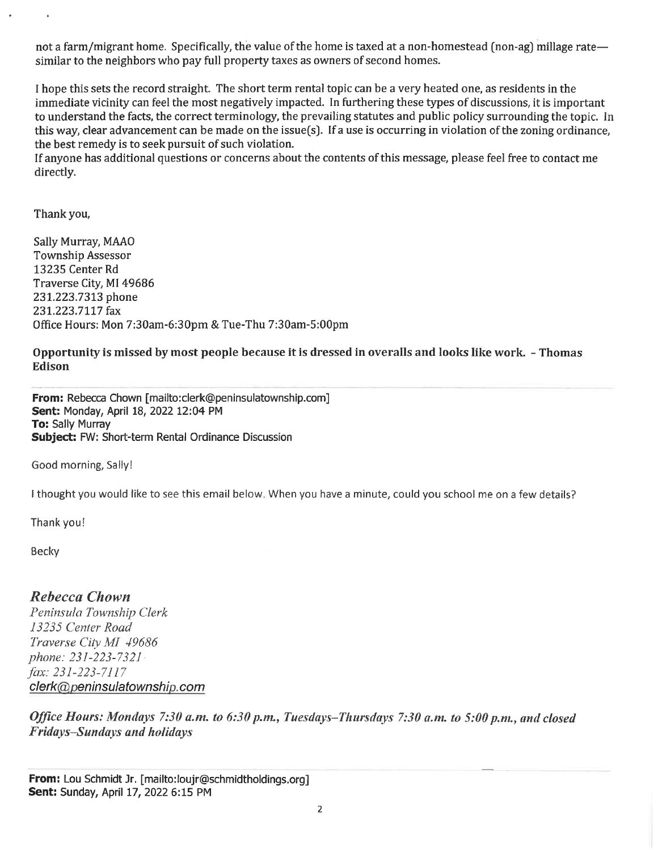not a farm/migrant home. Specifically, the value of the home is taxed at a non-homestead (non-ag) millage rate similar to the neighbors who pay full property taxes as owners of second homes.

I hope this sets the record straight. The short term rental topic can be a very heated one, as residents in the immediate vicinity can feel the most negatively impacted. In furthering these types of discussions, it is important to understand the facts, the correct terminology, the prevailing statutes and public policy surrounding the topic. In this way, clear advancement can be made on the issue(s). If a use is occurring in violation of the zoning ordinance, the best remedy is to seek pursuit of such violation.

If anyone has additional questions or concerns about the contents of this message, please feel free to contact me directly.

Thank you,

Sally Murray, MAAO **Township Assessor** 13235 Center Rd Traverse City, MI 49686 231.223.7313 phone 231.223.7117 fax Office Hours: Mon 7:30am-6:30pm & Tue-Thu 7:30am-5:00pm

Opportunity is missed by most people because it is dressed in overalls and looks like work. - Thomas **Edison** 

From: Rebecca Chown [mailto:clerk@peninsulatownship.com] Sent: Monday, April 18, 2022 12:04 PM To: Sally Murray Subject: FW: Short-term Rental Ordinance Discussion

Good morning, Sally!

I thought you would like to see this email below. When you have a minute, could you school me on a few details?

Thank you!

Becky

## **Rebecca Chown**

Peninsula Township Clerk 13235 Center Road Traverse City MI 49686 phone: 231-223-7321 fax: 231-223-7117 clerk@peninsulatownship.com

Office Hours: Mondays 7:30 a.m. to 6:30 p.m., Tuesdays-Thursdays 7:30 a.m. to 5:00 p.m., and closed Fridays-Sundays and holidays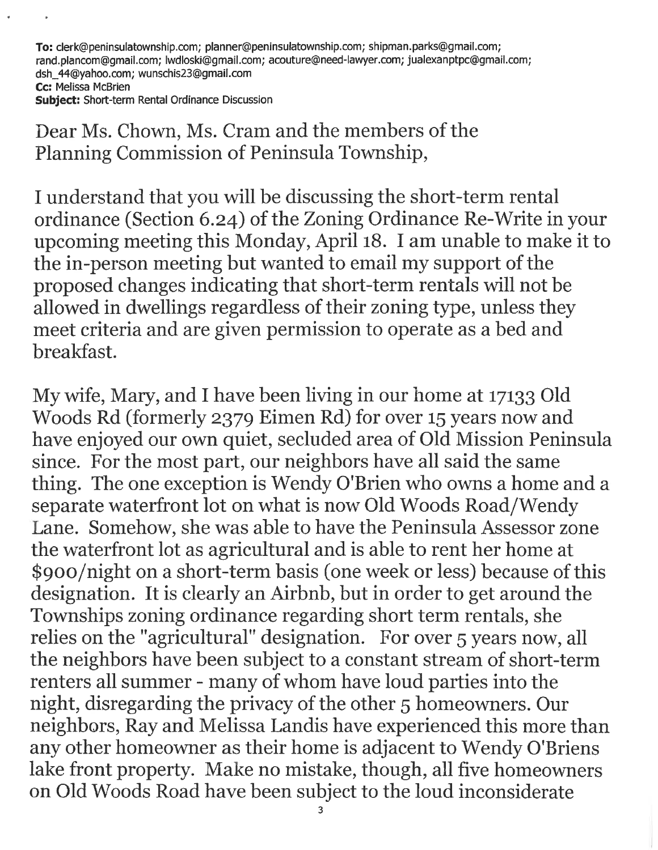To: clerk@peninsulatownship.com; planner@peninsulatownship.com; shipman.parks@gmail.com; rand.plancom@gmail.com; lwdloski@gmail.com; acouture@need-lawyer.com; jualexanptpc@qmail.com; dsh 44@yahoo.com; wunschis23@gmail.com Cc: Melissa McBrien

Subject: Short-term Rental Ordinance Discussion

Dear Ms. Chown, Ms. Cram and the members of the Planning Commission of Peninsula Township,

I understand that you will be discussing the short-term rental ordinance (Section 6.24) of the Zoning Ordinance Re-Write in your upcoming meeting this Monday, April 18. I am unable to make it to the in-person meeting but wanted to email my support of the proposed changes indicating that short-term rentals will not be allowed in dwellings regardless of their zoning type, unless they meet criteria and are given permission to operate as a bed and breakfast.

My wife, Mary, and I have been living in our home at 17133 Old Woods Rd (formerly 2379 Eimen Rd) for over 15 years now and have enjoyed our own quiet, secluded area of Old Mission Peninsula since. For the most part, our neighbors have all said the same thing. The one exception is Wendy O'Brien who owns a home and a separate waterfront lot on what is now Old Woods Road/Wendy Lane. Somehow, she was able to have the Peninsula Assessor zone the waterfront lot as agricultural and is able to rent her home at \$900/night on a short-term basis (one week or less) because of this designation. It is clearly an Airbnb, but in order to get around the Townships zoning ordinance regarding short term rentals, she relies on the "agricultural" designation. For over 5 years now, all the neighbors have been subject to a constant stream of short-term renters all summer - many of whom have loud parties into the night, disregarding the privacy of the other 5 homeowners. Our neighbors, Ray and Melissa Landis have experienced this more than any other homeowner as their home is adjacent to Wendy O'Briens lake front property. Make no mistake, though, all five homeowners on Old Woods Road have been subject to the loud inconsiderate